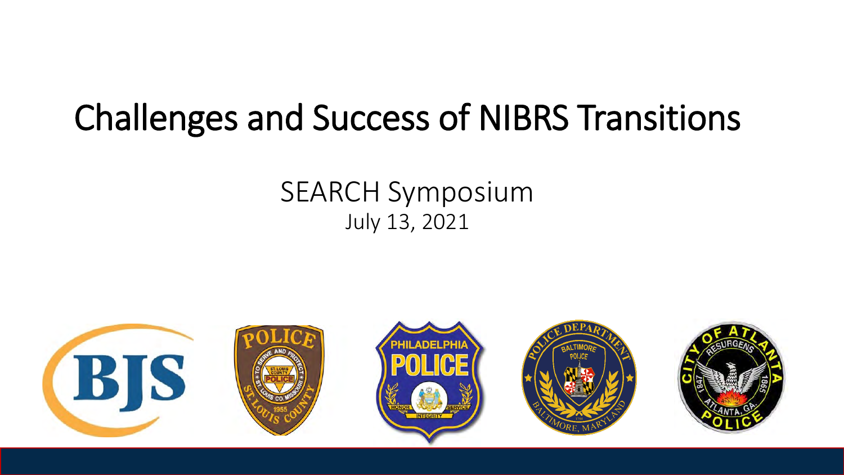# Challenges and Success of NIBRS Transitions

#### SEARCH Symposium July 13, 2021

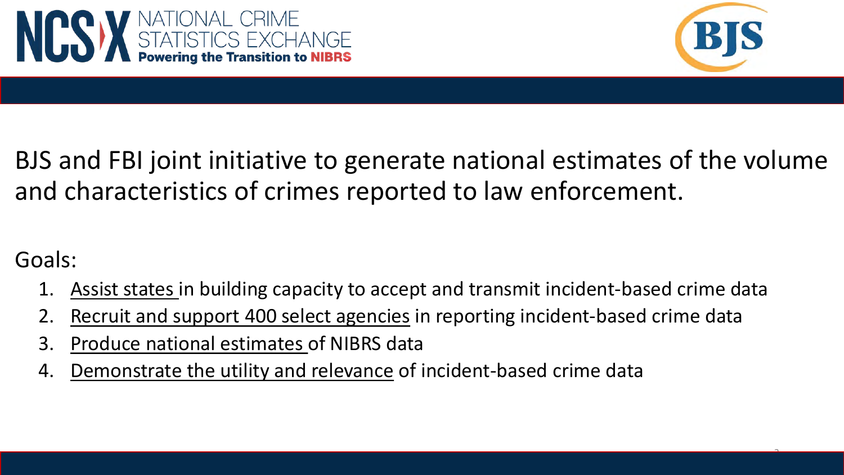



 $\hat{ }$ 

#### BJS and FBI joint initiative to generate national estimates of the volume and characteristics of crimes reported to law enforcement.

#### Goals:

- 1. Assist states in building capacity to accept and transmit incident-based crime data
- 2. Recruit and support 400 select agencies in reporting incident-based crime data
- 3. Produce national estimates of NIBRS data
- 4. Demonstrate the utility and relevance of incident-based crime data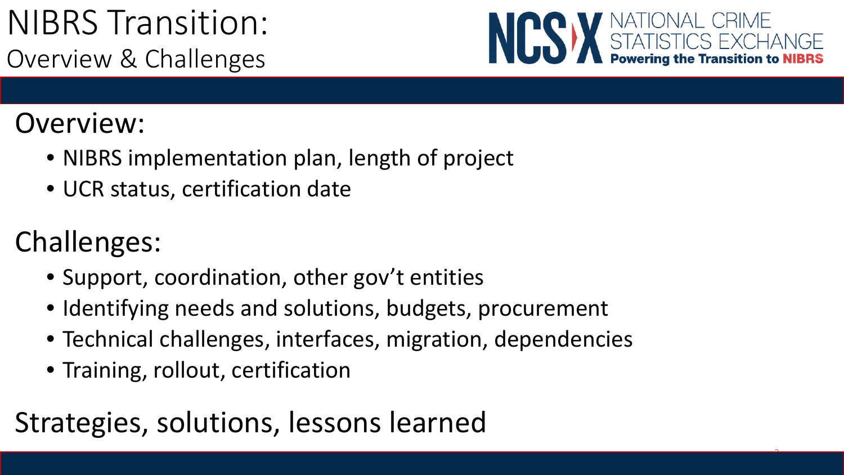## NIBRS Transition: Overview & Challenges



3

### Overview:

- NIBRS implementation plan, length of project
- UCR status, certification date

## Challenges:

- Support, coordination, other gov't entities
- Identifying needs and solutions, budgets, procurement
- Technical challenges, interfaces, migration, dependencies
- Training, rollout, certification

## Strategies, solutions, lessons learned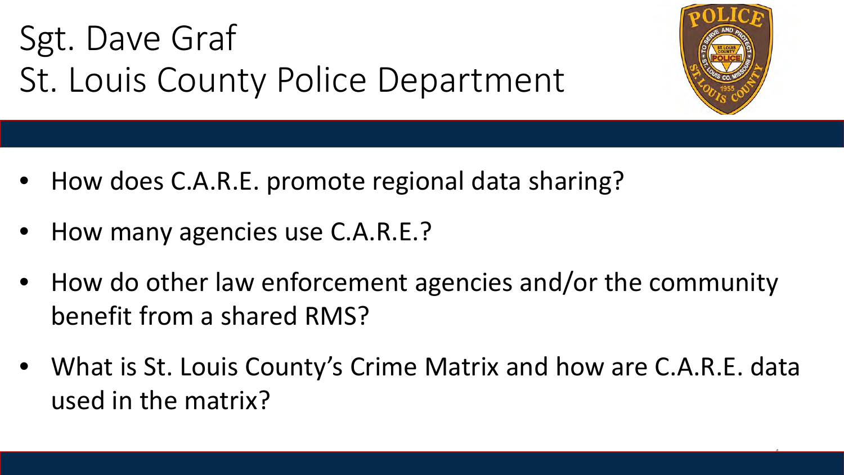Sgt. Dave Graf St. Louis County Police Department



- How does C.A.R.E. promote regional data sharing?
- How many agencies use C.A.R.E.?
- How do other law enforcement agencies and/or the community benefit from a shared RMS?
- What is St. Louis County's Crime Matrix and how are C.A.R.E. data used in the matrix?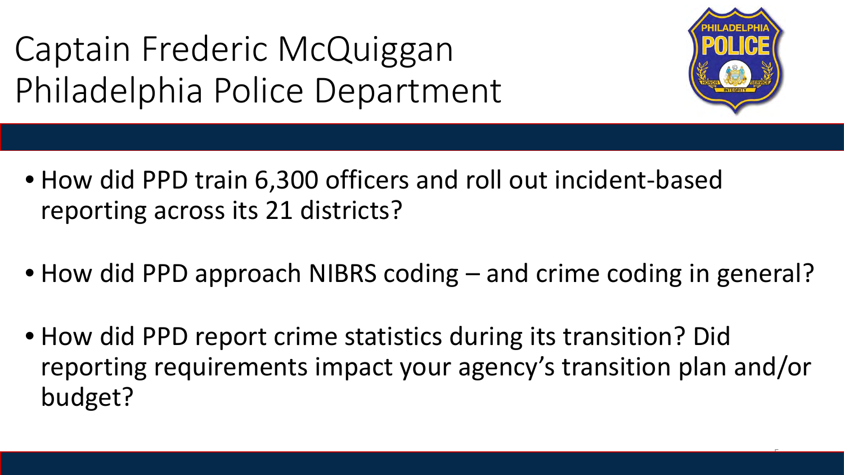Captain Frederic McQuiggan Philadelphia Police Department



- How did PPD train 6,300 officers and roll out incident-based reporting across its 21 districts?
- How did PPD approach NIBRS coding and crime coding in general?
- How did PPD report crime statistics during its transition? Did reporting requirements impact your agency's transition plan and/or budget?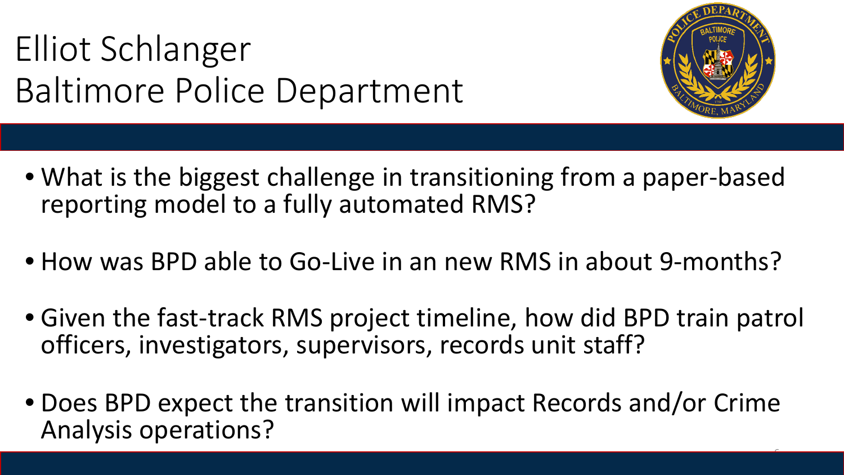# Elliot Schlanger Baltimore Police Department



- What is the biggest challenge in transitioning from a paper-based reporting model to a fully automated RMS?
- How was BPD able to Go-Live in an new RMS in about 9-months?
- Given the fast-track RMS project timeline, how did BPD train patrol officers, investigators, supervisors, records unit staff?
- Does BPD expect the transition will impact Records and/or Crime Analysis operations?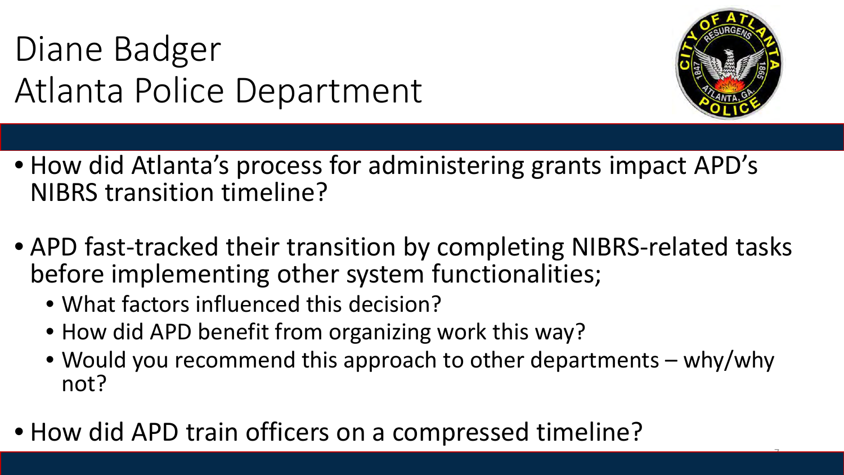# Diane Badger Atlanta Police Department



- How did Atlanta's process for administering grants impact APD's NIBRS transition timeline?
- APD fast-tracked their transition by completing NIBRS-related tasks before implementing other system functionalities;
	- What factors influenced this decision?
	- How did APD benefit from organizing work this way?
	- Would you recommend this approach to other departments why/why not?
- How did APD train officers on a compressed timeline?